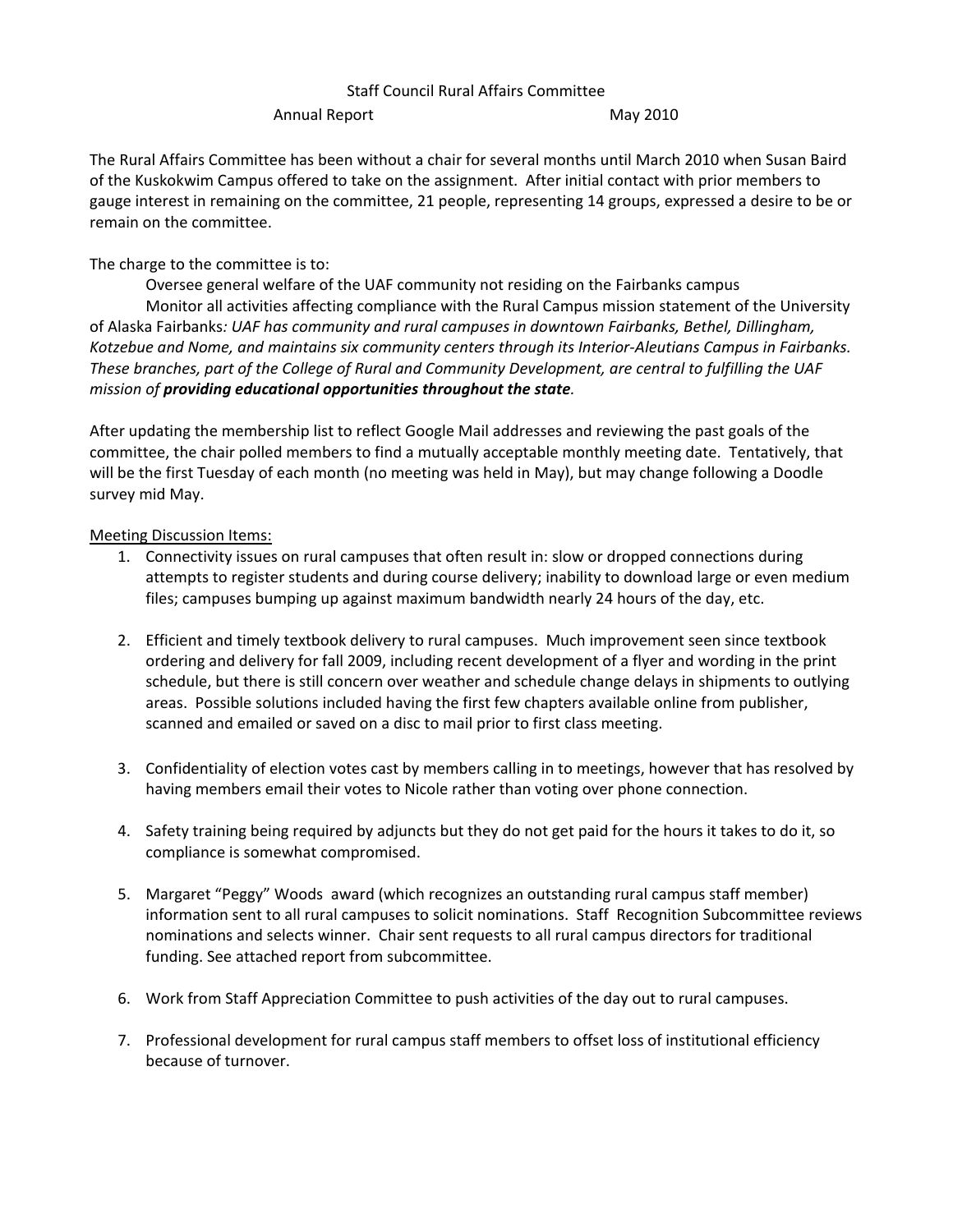## Staff Council Rural Affairs Committee

Annual Report May 2010

The Rural Affairs Committee has been without a chair for several months until March 2010 when Susan Baird of the Kuskokwim Campus offered to take on the assignment. After initial contact with prior members to gauge interest in remaining on the committee, 21 people, representing 14 groups, expressed a desire to be or remain on the committee.

The charge to the committee is to:

Oversee general welfare of the UAF community not residing on the Fairbanks campus Monitor all activities affecting compliance with the Rural Campus mission statement of the University of Alaska Fairbanks*: UAF has community and rural campuses in downtown Fairbanks, Bethel, Dillingham, Kotzebue and Nome, and maintains six community centers through its Interior-Aleutians Campus in Fairbanks. These branches, part of the College of Rural and Community Development, are central to fulfilling the UAF mission of providing educational opportunities throughout the state.*

After updating the membership list to reflect Google Mail addresses and reviewing the past goals of the committee, the chair polled members to find a mutually acceptable monthly meeting date. Tentatively, that will be the first Tuesday of each month (no meeting was held in May), but may change following a Doodle survey mid May.

Meeting Discussion Items:

- 1. Connectivity issues on rural campuses that often result in: slow or dropped connections during attempts to register students and during course delivery; inability to download large or even medium files; campuses bumping up against maximum bandwidth nearly 24 hours of the day, etc.
- 2. Efficient and timely textbook delivery to rural campuses. Much improvement seen since textbook ordering and delivery for fall 2009, including recent development of a flyer and wording in the print schedule, but there is still concern over weather and schedule change delays in shipments to outlying areas. Possible solutions included having the first few chapters available online from publisher, scanned and emailed or saved on a disc to mail prior to first class meeting.
- 3. Confidentiality of election votes cast by members calling in to meetings, however that has resolved by having members email their votes to Nicole rather than voting over phone connection.
- 4. Safety training being required by adjuncts but they do not get paid for the hours it takes to do it, so compliance is somewhat compromised.
- 5. Margaret "Peggy" Woods award (which recognizes an outstanding rural campus staff member) information sent to all rural campuses to solicit nominations. Staff Recognition Subcommittee reviews nominations and selects winner. Chair sent requests to all rural campus directors for traditional funding. See attached report from subcommittee.
- 6. Work from Staff Appreciation Committee to push activities of the day out to rural campuses.
- 7. Professional development for rural campus staff members to offset loss of institutional efficiency because of turnover.